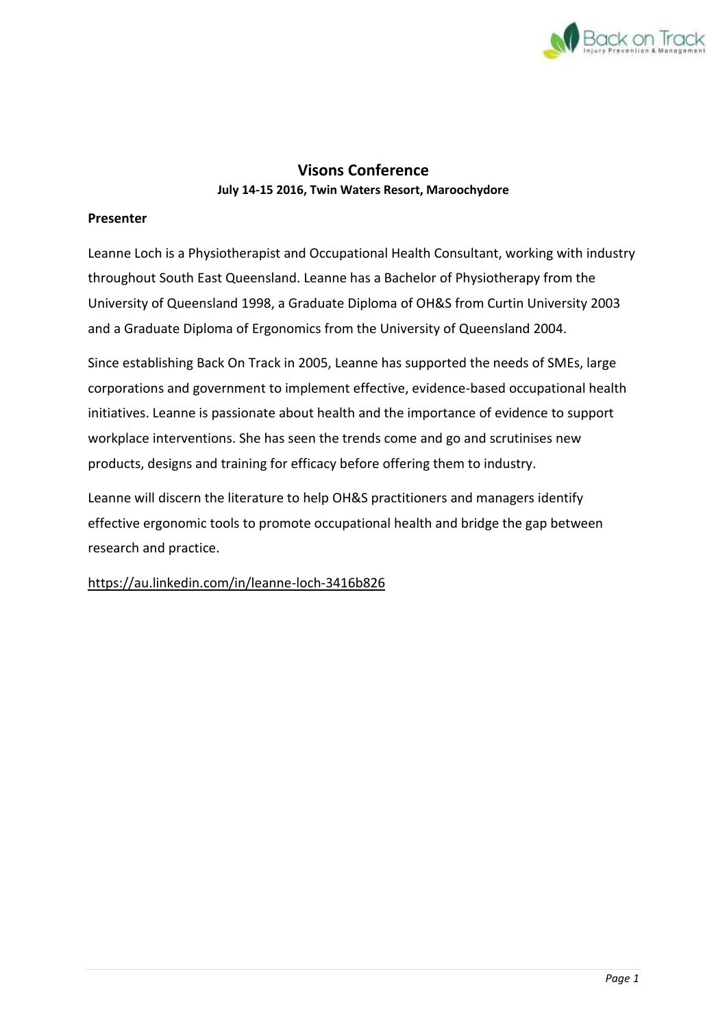

## **Visons Conference July 14-15 2016, Twin Waters Resort, Maroochydore**

### **Presenter**

Leanne Loch is a Physiotherapist and Occupational Health Consultant, working with industry throughout South East Queensland. Leanne has a Bachelor of Physiotherapy from the University of Queensland 1998, a Graduate Diploma of OH&S from Curtin University 2003 and a Graduate Diploma of Ergonomics from the University of Queensland 2004.

Since establishing Back On Track in 2005, Leanne has supported the needs of SMEs, large corporations and government to implement effective, evidence-based occupational health initiatives. Leanne is passionate about health and the importance of evidence to support workplace interventions. She has seen the trends come and go and scrutinises new products, designs and training for efficacy before offering them to industry.

Leanne will discern the literature to help OH&S practitioners and managers identify effective ergonomic tools to promote occupational health and bridge the gap between research and practice.

#### https://au.linkedin.com/in/leanne-loch-3416b826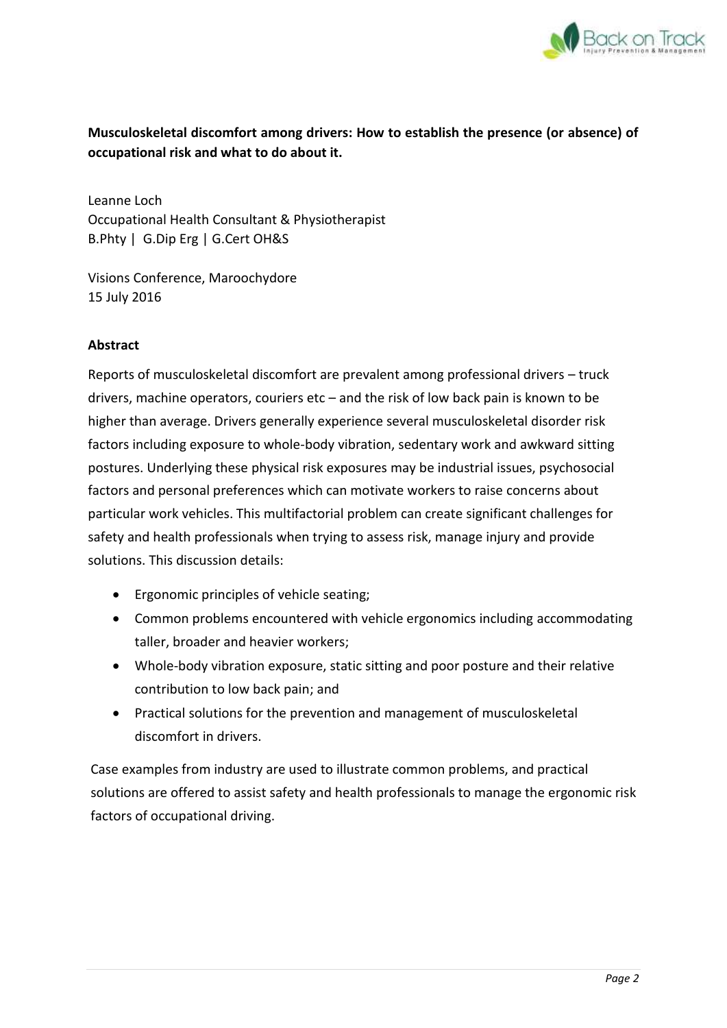

# **Musculoskeletal discomfort among drivers: How to establish the presence (or absence) of occupational risk and what to do about it.**

Leanne Loch Occupational Health Consultant & Physiotherapist B.Phty | G.Dip Erg | G.Cert OH&S

Visions Conference, Maroochydore 15 July 2016

## **Abstract**

Reports of musculoskeletal discomfort are prevalent among professional drivers – truck drivers, machine operators, couriers etc – and the risk of low back pain is known to be higher than average. Drivers generally experience several musculoskeletal disorder risk factors including exposure to whole-body vibration, sedentary work and awkward sitting postures. Underlying these physical risk exposures may be industrial issues, psychosocial factors and personal preferences which can motivate workers to raise concerns about particular work vehicles. This multifactorial problem can create significant challenges for safety and health professionals when trying to assess risk, manage injury and provide solutions. This discussion details:

- Ergonomic principles of vehicle seating;
- Common problems encountered with vehicle ergonomics including accommodating taller, broader and heavier workers;
- Whole-body vibration exposure, static sitting and poor posture and their relative contribution to low back pain; and
- Practical solutions for the prevention and management of musculoskeletal discomfort in drivers.

Case examples from industry are used to illustrate common problems, and practical solutions are offered to assist safety and health professionals to manage the ergonomic risk factors of occupational driving.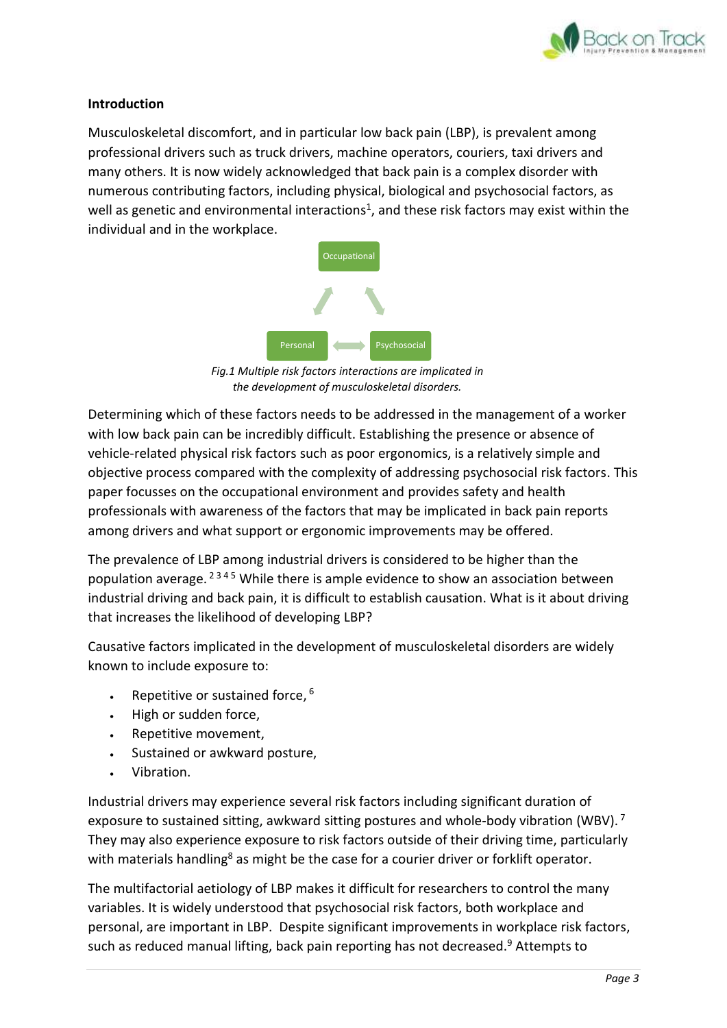

#### **Introduction**

Musculoskeletal discomfort, and in particular low back pain (LBP), is prevalent among professional drivers such as truck drivers, machine operators, couriers, taxi drivers and many others. It is now widely acknowledged that back pain is a complex disorder with numerous contributing factors, including physical, biological and psychosocial factors, as well as genetic and environmental interactions<sup>1</sup>, and these risk factors may exist within the individual and in the workplace.



*Fig.1 Multiple risk factors interactions are implicated in the development of musculoskeletal disorders.*

Determining which of these factors needs to be addressed in the management of a worker with low back pain can be incredibly difficult. Establishing the presence or absence of vehicle-related physical risk factors such as poor ergonomics, is a relatively simple and objective process compared with the complexity of addressing psychosocial risk factors. This paper focusses on the occupational environment and provides safety and health professionals with awareness of the factors that may be implicated in back pain reports among drivers and what support or ergonomic improvements may be offered.

The prevalence of LBP among industrial drivers is considered to be higher than the population average. <sup>2345</sup> While there is ample evidence to show an association between industrial driving and back pain, it is difficult to establish causation. What is it about driving that increases the likelihood of developing LBP?

Causative factors implicated in the development of musculoskeletal disorders are widely known to include exposure to:

- Repetitive or sustained force,  $6$
- High or sudden force,
- Repetitive movement,
- Sustained or awkward posture,
- Vibration.

Industrial drivers may experience several risk factors including significant duration of exposure to sustained sitting, awkward sitting postures and whole-body vibration (WBV).<sup>7</sup> They may also experience exposure to risk factors outside of their driving time, particularly with materials handling<sup>8</sup> as might be the case for a courier driver or forklift operator.

The multifactorial aetiology of LBP makes it difficult for researchers to control the many variables. It is widely understood that psychosocial risk factors, both workplace and personal, are important in LBP. Despite significant improvements in workplace risk factors, such as reduced manual lifting, back pain reporting has not decreased.<sup>9</sup> Attempts to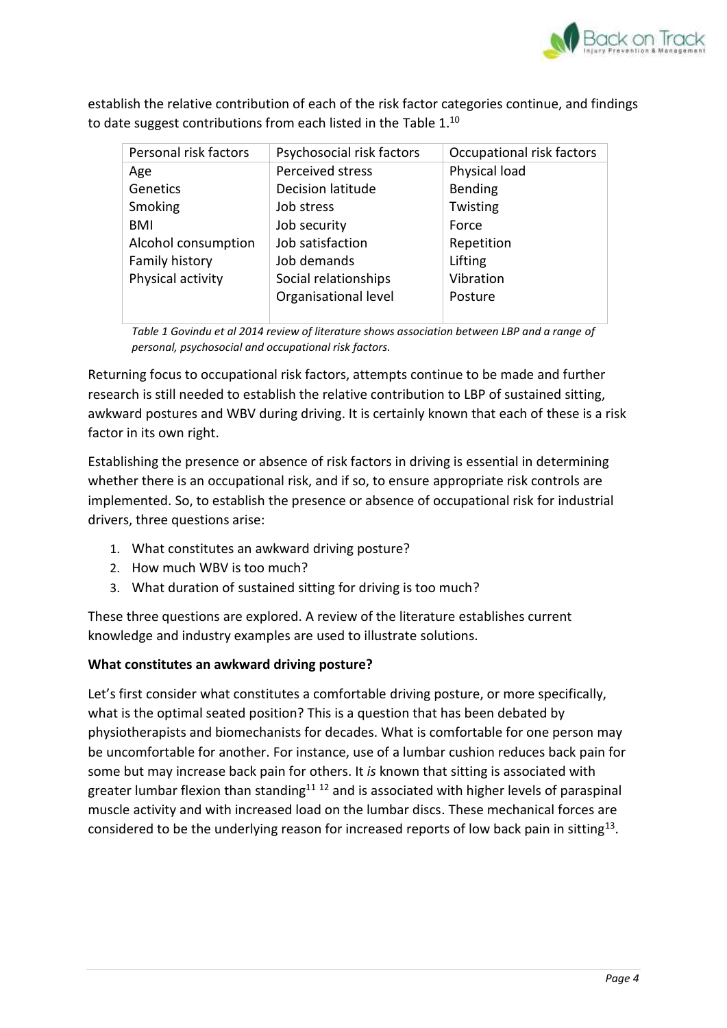

establish the relative contribution of each of the risk factor categories continue, and findings to date suggest contributions from each listed in the Table 1.<sup>10</sup>

| Personal risk factors | Psychosocial risk factors | Occupational risk factors |
|-----------------------|---------------------------|---------------------------|
| Age                   | Perceived stress          | Physical load             |
| Genetics              | Decision latitude         | <b>Bending</b>            |
| Smoking               | Job stress                | Twisting                  |
| BMI                   | Job security              | Force                     |
| Alcohol consumption   | Job satisfaction          | Repetition                |
| Family history        | Job demands               | Lifting                   |
| Physical activity     | Social relationships      | Vibration                 |
|                       | Organisational level      | Posture                   |
|                       |                           |                           |

*Table 1 Govindu et al 2014 review of literature shows association between LBP and a range of personal, psychosocial and occupational risk factors.*

Returning focus to occupational risk factors, attempts continue to be made and further research is still needed to establish the relative contribution to LBP of sustained sitting, awkward postures and WBV during driving. It is certainly known that each of these is a risk factor in its own right.

Establishing the presence or absence of risk factors in driving is essential in determining whether there is an occupational risk, and if so, to ensure appropriate risk controls are implemented. So, to establish the presence or absence of occupational risk for industrial drivers, three questions arise:

- 1. What constitutes an awkward driving posture?
- 2. How much WBV is too much?
- 3. What duration of sustained sitting for driving is too much?

These three questions are explored. A review of the literature establishes current knowledge and industry examples are used to illustrate solutions.

# **What constitutes an awkward driving posture?**

Let's first consider what constitutes a comfortable driving posture, or more specifically, what is the optimal seated position? This is a question that has been debated by physiotherapists and biomechanists for decades. What is comfortable for one person may be uncomfortable for another. For instance, use of a lumbar cushion reduces back pain for some but may increase back pain for others. It *is* known that sitting is associated with greater lumbar flexion than standing<sup>11 12</sup> and is associated with higher levels of paraspinal muscle activity and with increased load on the lumbar discs. These mechanical forces are considered to be the underlying reason for increased reports of low back pain in sitting<sup>13</sup>.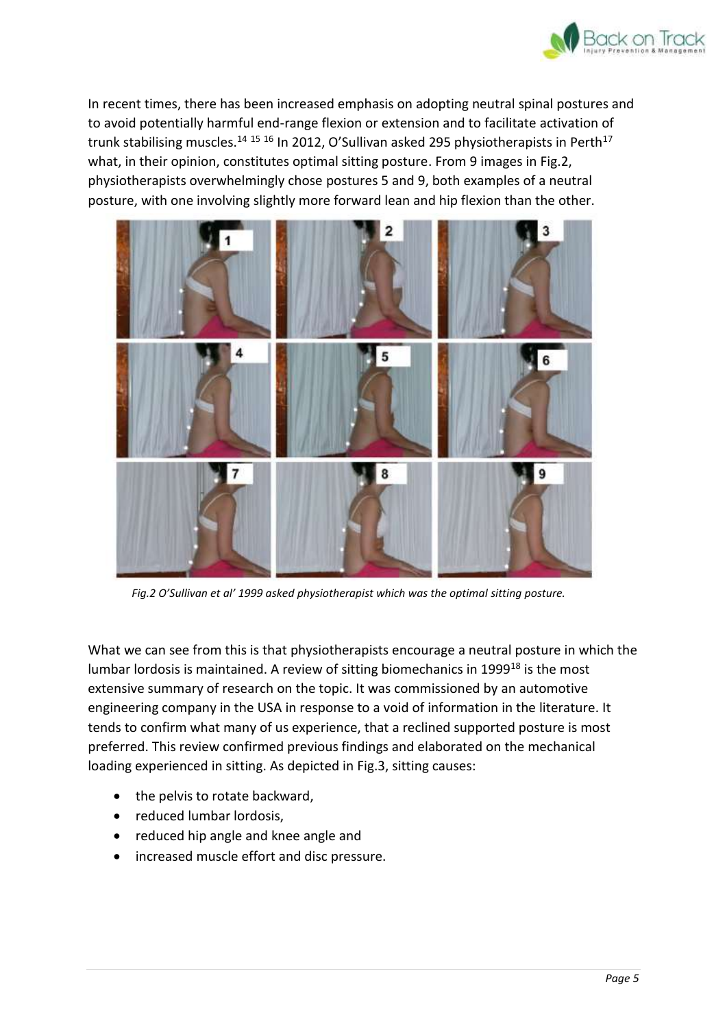

In recent times, there has been increased emphasis on adopting neutral spinal postures and to avoid potentially harmful end-range flexion or extension and to facilitate activation of trunk stabilising muscles.<sup>14 15 16</sup> In 2012, O'Sullivan asked 295 physiotherapists in Perth<sup>17</sup> what, in their opinion, constitutes optimal sitting posture. From 9 images in Fig.2, physiotherapists overwhelmingly chose postures 5 and 9, both examples of a neutral posture, with one involving slightly more forward lean and hip flexion than the other.



*Fig.2 O'Sullivan et al' 1999 asked physiotherapist which was the optimal sitting posture.*

What we can see from this is that physiotherapists encourage a neutral posture in which the lumbar lordosis is maintained. A review of sitting biomechanics in 1999<sup>18</sup> is the most extensive summary of research on the topic. It was commissioned by an automotive engineering company in the USA in response to a void of information in the literature. It tends to confirm what many of us experience, that a reclined supported posture is most preferred. This review confirmed previous findings and elaborated on the mechanical loading experienced in sitting. As depicted in Fig.3, sitting causes:

- the pelvis to rotate backward,
- reduced lumbar lordosis,
- reduced hip angle and knee angle and
- increased muscle effort and disc pressure.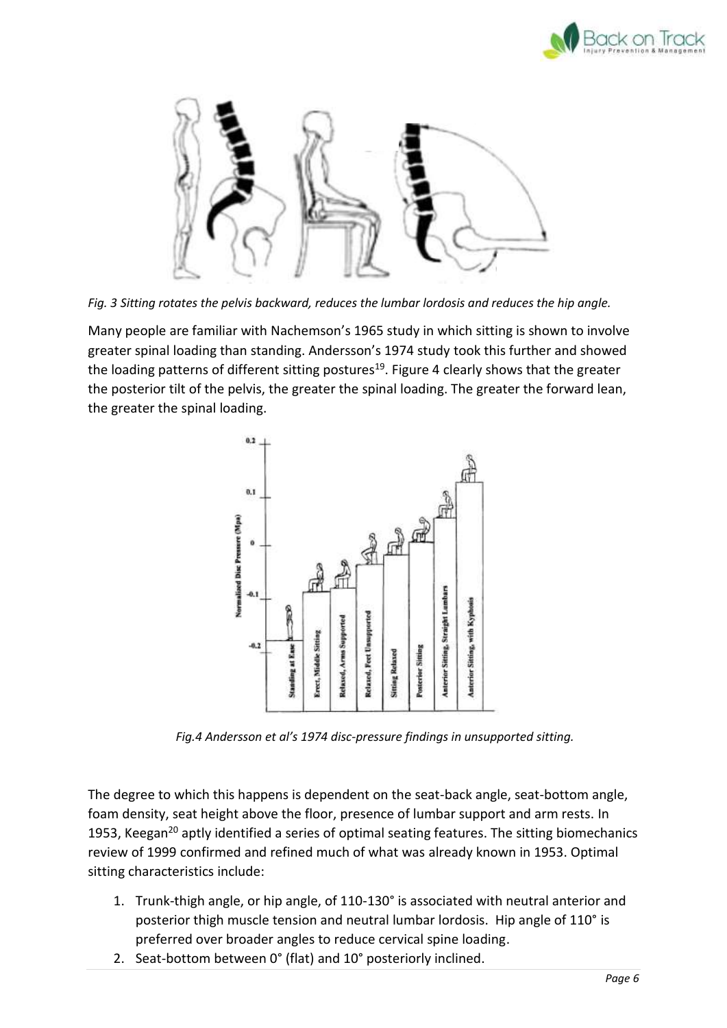



*Fig. 3 Sitting rotates the pelvis backward, reduces the lumbar lordosis and reduces the hip angle.* 

Many people are familiar with Nachemson's 1965 study in which sitting is shown to involve greater spinal loading than standing. Andersson's 1974 study took this further and showed the loading patterns of different sitting postures<sup>19</sup>. Figure 4 clearly shows that the greater the posterior tilt of the pelvis, the greater the spinal loading. The greater the forward lean, the greater the spinal loading.



*Fig.4 Andersson et al's 1974 disc-pressure findings in unsupported sitting.*

The degree to which this happens is dependent on the seat-back angle, seat-bottom angle, foam density, seat height above the floor, presence of lumbar support and arm rests. In 1953, Keegan<sup>20</sup> aptly identified a series of optimal seating features. The sitting biomechanics review of 1999 confirmed and refined much of what was already known in 1953. Optimal sitting characteristics include:

- 1. Trunk-thigh angle, or hip angle, of 110-130° is associated with neutral anterior and posterior thigh muscle tension and neutral lumbar lordosis. Hip angle of 110° is preferred over broader angles to reduce cervical spine loading.
- 2. Seat-bottom between 0° (flat) and 10° posteriorly inclined.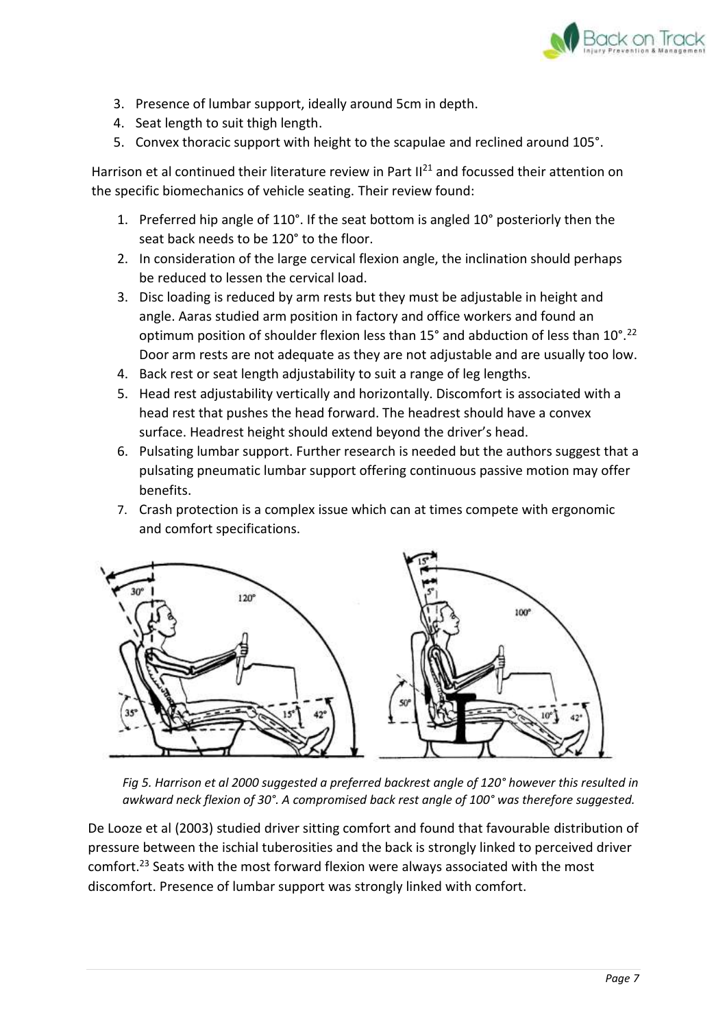

- 3. Presence of lumbar support, ideally around 5cm in depth.
- 4. Seat length to suit thigh length.
- 5. Convex thoracic support with height to the scapulae and reclined around 105°.

Harrison et al continued their literature review in Part  $II<sup>21</sup>$  and focussed their attention on the specific biomechanics of vehicle seating. Their review found:

- 1. Preferred hip angle of 110°. If the seat bottom is angled 10° posteriorly then the seat back needs to be 120° to the floor.
- 2. In consideration of the large cervical flexion angle, the inclination should perhaps be reduced to lessen the cervical load.
- 3. Disc loading is reduced by arm rests but they must be adjustable in height and angle. Aaras studied arm position in factory and office workers and found an optimum position of shoulder flexion less than 15° and abduction of less than 10°.<sup>22</sup> Door arm rests are not adequate as they are not adjustable and are usually too low.
- 4. Back rest or seat length adjustability to suit a range of leg lengths.
- 5. Head rest adjustability vertically and horizontally. Discomfort is associated with a head rest that pushes the head forward. The headrest should have a convex surface. Headrest height should extend beyond the driver's head.
- 6. Pulsating lumbar support. Further research is needed but the authors suggest that a pulsating pneumatic lumbar support offering continuous passive motion may offer benefits.
- 7. Crash protection is a complex issue which can at times compete with ergonomic and comfort specifications.



*Fig 5. Harrison et al 2000 suggested a preferred backrest angle of 120° however this resulted in awkward neck flexion of 30°. A compromised back rest angle of 100° was therefore suggested.*

De Looze et al (2003) studied driver sitting comfort and found that favourable distribution of pressure between the ischial tuberosities and the back is strongly linked to perceived driver comfort.<sup>23</sup> Seats with the most forward flexion were always associated with the most discomfort. Presence of lumbar support was strongly linked with comfort.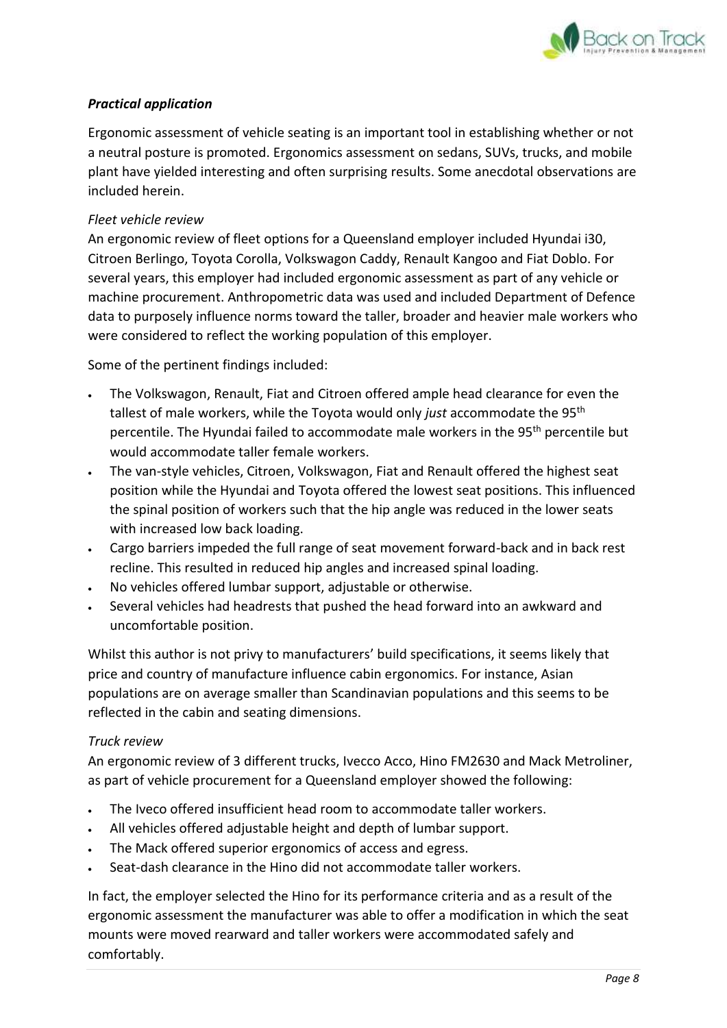

## *Practical application*

Ergonomic assessment of vehicle seating is an important tool in establishing whether or not a neutral posture is promoted. Ergonomics assessment on sedans, SUVs, trucks, and mobile plant have yielded interesting and often surprising results. Some anecdotal observations are included herein.

#### *Fleet vehicle review*

An ergonomic review of fleet options for a Queensland employer included Hyundai i30, Citroen Berlingo, Toyota Corolla, Volkswagon Caddy, Renault Kangoo and Fiat Doblo. For several years, this employer had included ergonomic assessment as part of any vehicle or machine procurement. Anthropometric data was used and included Department of Defence data to purposely influence norms toward the taller, broader and heavier male workers who were considered to reflect the working population of this employer.

Some of the pertinent findings included:

- The Volkswagon, Renault, Fiat and Citroen offered ample head clearance for even the tallest of male workers, while the Toyota would only *just* accommodate the 95th percentile. The Hyundai failed to accommodate male workers in the 95th percentile but would accommodate taller female workers.
- The van-style vehicles, Citroen, Volkswagon, Fiat and Renault offered the highest seat position while the Hyundai and Toyota offered the lowest seat positions. This influenced the spinal position of workers such that the hip angle was reduced in the lower seats with increased low back loading.
- Cargo barriers impeded the full range of seat movement forward-back and in back rest recline. This resulted in reduced hip angles and increased spinal loading.
- No vehicles offered lumbar support, adjustable or otherwise.
- Several vehicles had headrests that pushed the head forward into an awkward and uncomfortable position.

Whilst this author is not privy to manufacturers' build specifications, it seems likely that price and country of manufacture influence cabin ergonomics. For instance, Asian populations are on average smaller than Scandinavian populations and this seems to be reflected in the cabin and seating dimensions.

#### *Truck review*

An ergonomic review of 3 different trucks, Ivecco Acco, Hino FM2630 and Mack Metroliner, as part of vehicle procurement for a Queensland employer showed the following:

- The Iveco offered insufficient head room to accommodate taller workers.
- All vehicles offered adjustable height and depth of lumbar support.
- The Mack offered superior ergonomics of access and egress.
- Seat-dash clearance in the Hino did not accommodate taller workers.

In fact, the employer selected the Hino for its performance criteria and as a result of the ergonomic assessment the manufacturer was able to offer a modification in which the seat mounts were moved rearward and taller workers were accommodated safely and comfortably.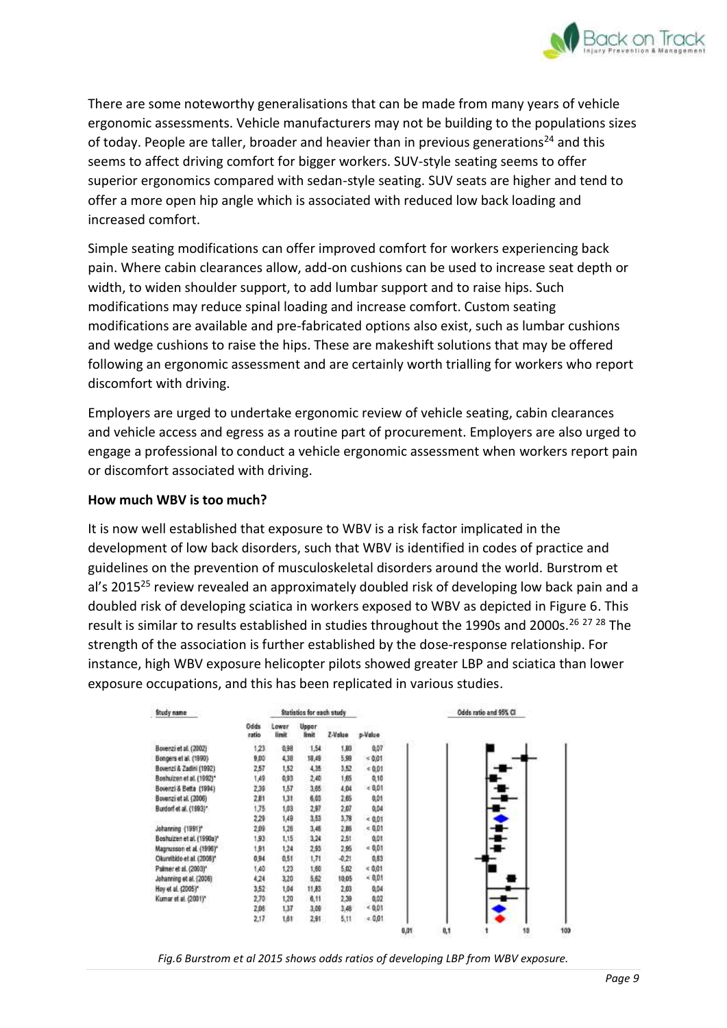

There are some noteworthy generalisations that can be made from many years of vehicle ergonomic assessments. Vehicle manufacturers may not be building to the populations sizes of today. People are taller, broader and heavier than in previous generations<sup>24</sup> and this seems to affect driving comfort for bigger workers. SUV-style seating seems to offer superior ergonomics compared with sedan-style seating. SUV seats are higher and tend to offer a more open hip angle which is associated with reduced low back loading and increased comfort.

Simple seating modifications can offer improved comfort for workers experiencing back pain. Where cabin clearances allow, add-on cushions can be used to increase seat depth or width, to widen shoulder support, to add lumbar support and to raise hips. Such modifications may reduce spinal loading and increase comfort. Custom seating modifications are available and pre-fabricated options also exist, such as lumbar cushions and wedge cushions to raise the hips. These are makeshift solutions that may be offered following an ergonomic assessment and are certainly worth trialling for workers who report discomfort with driving.

Employers are urged to undertake ergonomic review of vehicle seating, cabin clearances and vehicle access and egress as a routine part of procurement. Employers are also urged to engage a professional to conduct a vehicle ergonomic assessment when workers report pain or discomfort associated with driving.

#### **How much WBV is too much?**

It is now well established that exposure to WBV is a risk factor implicated in the development of low back disorders, such that WBV is identified in codes of practice and guidelines on the prevention of musculoskeletal disorders around the world. Burstrom et al's 2015<sup>25</sup> review revealed an approximately doubled risk of developing low back pain and a doubled risk of developing sciatica in workers exposed to WBV as depicted in Figure 6. This result is similar to results established in studies throughout the 1990s and 2000s.<sup>26 27 28</sup> The strength of the association is further established by the dose-response relationship. For instance, high WBV exposure helicopter pilots showed greater LBP and sciatica than lower exposure occupations, and this has been replicated in various studies.

| Study name                |               | Statistics for each study |                |         |          |      | Odds ratio and 95% CI |  |
|---------------------------|---------------|---------------------------|----------------|---------|----------|------|-----------------------|--|
|                           | Odds<br>ratio | Lower<br>limit            | Upper<br>linit | Z-Value | p-Value  |      |                       |  |
| Bovenzi et al. (2002)     | 1.23          | 0,98                      | 1,54           | 1.80    | 0,07     |      |                       |  |
| Bongers et al. (1990)     | 9,00          | 4,38                      | 18,49          | 5,98    | $= 0.01$ |      |                       |  |
| Bovenzi & Zadini (1992)   | 2,57          | 1,52                      | 4,35           | 3.52    | $= 0.01$ |      |                       |  |
| Boshuizen et al. (1992)*  | 1,49          | 0,93                      | 2,40           | 1,65    | 0,10     |      |                       |  |
| Bovenzi & Betta (1994)    | 2,39          | 1,57                      | 3.65           | 4.04    | 0.01     |      |                       |  |
| Bovenzi et al. (2006)     | 2.81          | 1,31                      | 6,03           | 2.65    | 0,01     |      |                       |  |
| Burdorf et al. (1993)*    | 1.75          | 1,03                      | 2,97           | 2,07    | 0,04     |      |                       |  |
|                           | 2.29          | 1,49                      | 3,53           | 3,78    | 0.01     |      |                       |  |
| Johanning {1991}*         | 2.09          | 1,26                      | 3,46           | 2.86    | 0.01     |      |                       |  |
| Boshuizen et al. (1990a)* | 1,93          | 1,15                      | 3,24           | 2,51    | 0,01     |      |                       |  |
| Magnusson et al. (1996)*  | 1,91          | 1,24                      | 2,93           | 2.95    | $-0.01$  |      |                       |  |
| Okunribido et al. (2006)* | 0,94          | 0.51                      | 1,71           | $-0.21$ | 0,83     |      |                       |  |
| Palmer et al. (2003)*     | 1,40          | 1.23                      | 1,60           | 5.02    | 0.01     |      |                       |  |
| Johanning et al. (2006)   | 4.24          | 3,20                      | 5.62           | 10.05   | $-0.01$  |      |                       |  |
| Hoy et al. (2005)*        | 3.52          | 1.04                      | 11,83          | 2.03    | 0,04     |      |                       |  |
| Kumar et al. (2001)*      | 2.70          | 1,20                      | 6.11           | 2,39    | 0,02     |      |                       |  |
|                           | 2,05          | 1,37                      | 3,09           | 3,48    | 0.01     |      |                       |  |
|                           | 2,17          | 1,81                      | 2.91           | 5,11    | 0.01     |      |                       |  |
|                           |               |                           |                |         |          | 0.01 | 0,1<br>10             |  |

*Fig.6 Burstrom et al 2015 shows odds ratios of developing LBP from WBV exposure.*

109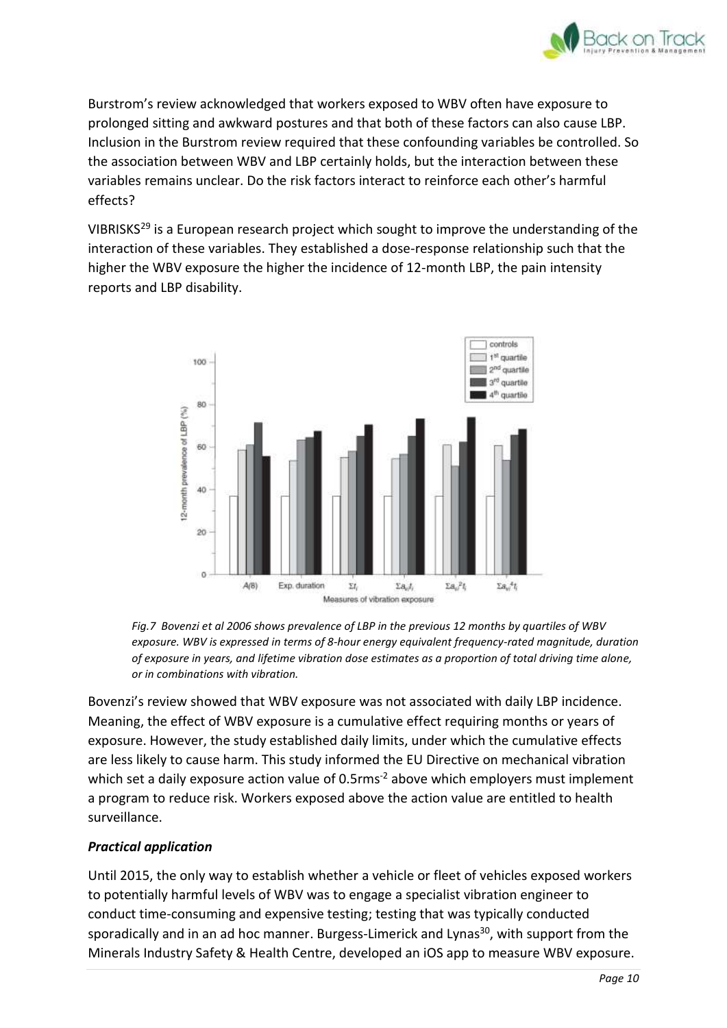

Burstrom's review acknowledged that workers exposed to WBV often have exposure to prolonged sitting and awkward postures and that both of these factors can also cause LBP. Inclusion in the Burstrom review required that these confounding variables be controlled. So the association between WBV and LBP certainly holds, but the interaction between these variables remains unclear. Do the risk factors interact to reinforce each other's harmful effects?

VIBRISKS<sup>29</sup> is a European research project which sought to improve the understanding of the interaction of these variables. They established a dose-response relationship such that the higher the WBV exposure the higher the incidence of 12-month LBP, the pain intensity reports and LBP disability.



*Fig.7 Bovenzi et al 2006 shows prevalence of LBP in the previous 12 months by quartiles of WBV exposure. WBV is expressed in terms of 8-hour energy equivalent frequency-rated magnitude, duration of exposure in years, and lifetime vibration dose estimates as a proportion of total driving time alone, or in combinations with vibration.* 

Bovenzi's review showed that WBV exposure was not associated with daily LBP incidence. Meaning, the effect of WBV exposure is a cumulative effect requiring months or years of exposure. However, the study established daily limits, under which the cumulative effects are less likely to cause harm. This study informed the EU Directive on mechanical vibration which set a daily exposure action value of 0.5 rms<sup>-2</sup> above which employers must implement a program to reduce risk. Workers exposed above the action value are entitled to health surveillance.

## *Practical application*

Until 2015, the only way to establish whether a vehicle or fleet of vehicles exposed workers to potentially harmful levels of WBV was to engage a specialist vibration engineer to conduct time-consuming and expensive testing; testing that was typically conducted sporadically and in an ad hoc manner. Burgess-Limerick and Lynas<sup>30</sup>, with support from the Minerals Industry Safety & Health Centre, developed an iOS app to measure WBV exposure.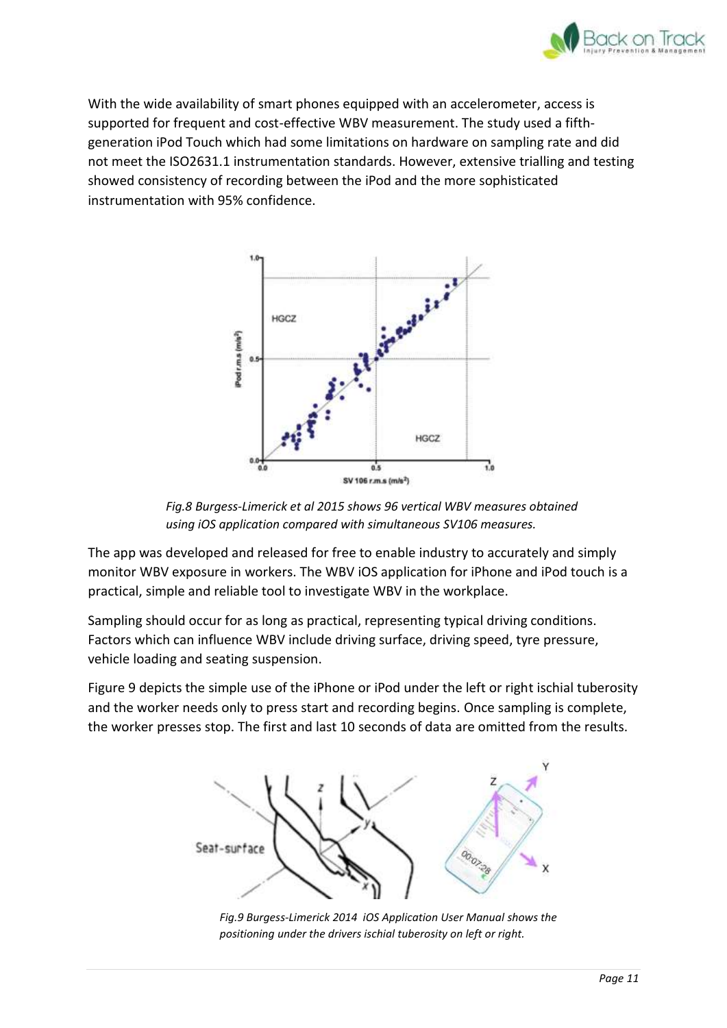

With the wide availability of smart phones equipped with an accelerometer, access is supported for frequent and cost-effective WBV measurement. The study used a fifthgeneration iPod Touch which had some limitations on hardware on sampling rate and did not meet the ISO2631.1 instrumentation standards. However, extensive trialling and testing showed consistency of recording between the iPod and the more sophisticated instrumentation with 95% confidence.



*Fig.8 Burgess-Limerick et al 2015 shows 96 vertical WBV measures obtained using iOS application compared with simultaneous SV106 measures.*

The app was developed and released for free to enable industry to accurately and simply monitor WBV exposure in workers. The WBV iOS application for iPhone and iPod touch is a practical, simple and reliable tool to investigate WBV in the workplace.

Sampling should occur for as long as practical, representing typical driving conditions. Factors which can influence WBV include driving surface, driving speed, tyre pressure, vehicle loading and seating suspension.

Figure 9 depicts the simple use of the iPhone or iPod under the left or right ischial tuberosity and the worker needs only to press start and recording begins. Once sampling is complete, the worker presses stop. The first and last 10 seconds of data are omitted from the results.



*Fig.9 Burgess-Limerick 2014 iOS Application User Manual shows the positioning under the drivers ischial tuberosity on left or right.*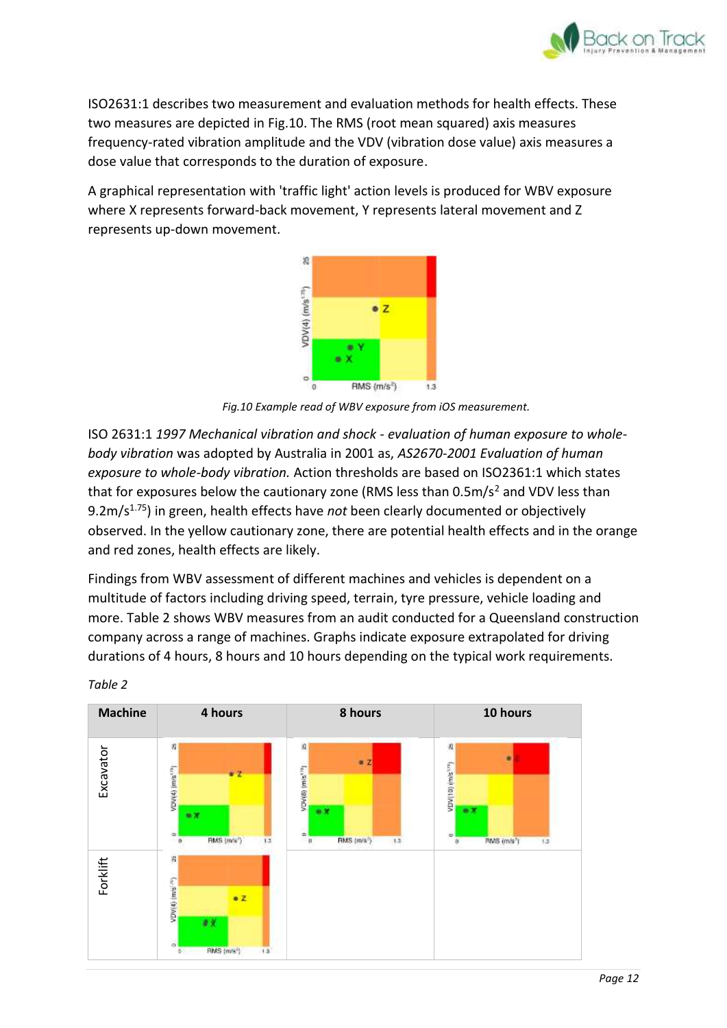

ISO2631:1 describes two measurement and evaluation methods for health effects. These two measures are depicted in Fig.10. The RMS (root mean squared) axis measures frequency-rated vibration amplitude and the VDV (vibration dose value) axis measures a dose value that corresponds to the duration of exposure.

A graphical representation with 'traffic light' action levels is produced for WBV exposure where X represents forward-back movement, Y represents lateral movement and Z represents up-down movement.



*Fig.10 Example read of WBV exposure from iOS measurement.*

ISO 2631:1 *1997 Mechanical vibration and shock - evaluation of human exposure to wholebody vibration* was adopted by Australia in 2001 as, *AS2670-2001 Evaluation of human exposure to whole-body vibration.* Action thresholds are based on ISO2361:1 which states that for exposures below the cautionary zone (RMS less than  $0.5 \text{m/s}^2$  and VDV less than 9.2m/s<sup>1.75</sup>) in green, health effects have *not* been clearly documented or objectively observed. In the yellow cautionary zone, there are potential health effects and in the orange and red zones, health effects are likely.

Findings from WBV assessment of different machines and vehicles is dependent on a multitude of factors including driving speed, terrain, tyre pressure, vehicle loading and more. Table 2 shows WBV measures from an audit conducted for a Queensland construction company across a range of machines. Graphs indicate exposure extrapolated for driving durations of 4 hours, 8 hours and 10 hours depending on the typical work requirements.



*Table 2*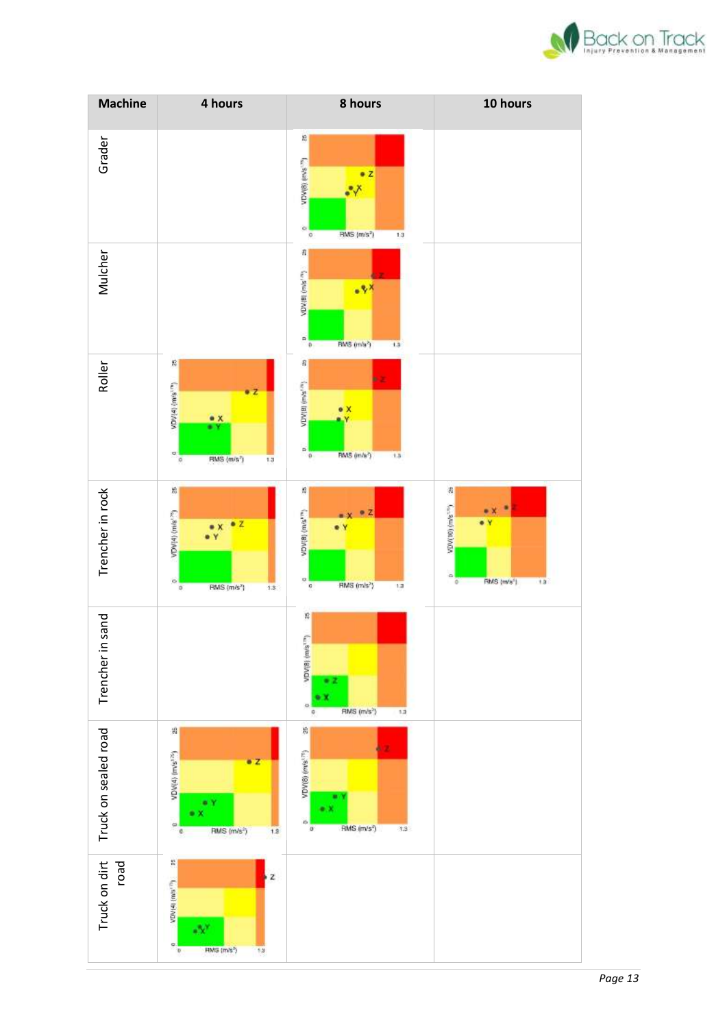

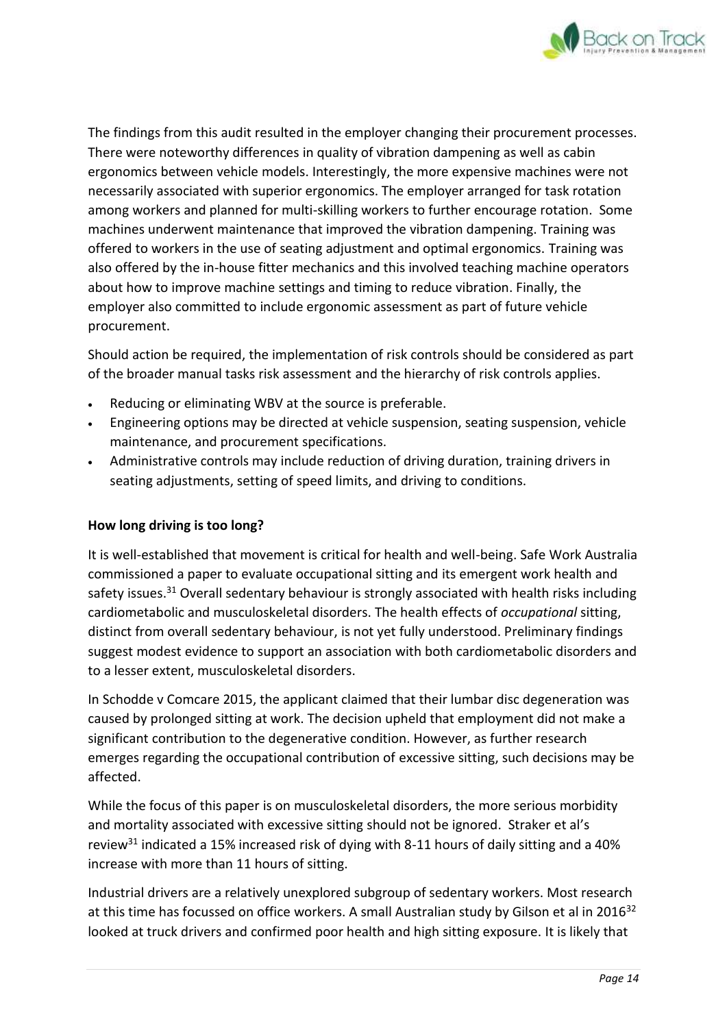

The findings from this audit resulted in the employer changing their procurement processes. There were noteworthy differences in quality of vibration dampening as well as cabin ergonomics between vehicle models. Interestingly, the more expensive machines were not necessarily associated with superior ergonomics. The employer arranged for task rotation among workers and planned for multi-skilling workers to further encourage rotation. Some machines underwent maintenance that improved the vibration dampening. Training was offered to workers in the use of seating adjustment and optimal ergonomics. Training was also offered by the in-house fitter mechanics and this involved teaching machine operators about how to improve machine settings and timing to reduce vibration. Finally, the employer also committed to include ergonomic assessment as part of future vehicle procurement.

Should action be required, the implementation of risk controls should be considered as part of the broader manual tasks risk assessment and the hierarchy of risk controls applies.

- Reducing or eliminating WBV at the source is preferable.
- Engineering options may be directed at vehicle suspension, seating suspension, vehicle maintenance, and procurement specifications.
- Administrative controls may include reduction of driving duration, training drivers in seating adjustments, setting of speed limits, and driving to conditions.

## **How long driving is too long?**

It is well-established that movement is critical for health and well-being. Safe Work Australia commissioned a paper to evaluate occupational sitting and its emergent work health and safety issues.<sup>31</sup> Overall sedentary behaviour is strongly associated with health risks including cardiometabolic and musculoskeletal disorders. The health effects of *occupational* sitting, distinct from overall sedentary behaviour, is not yet fully understood. Preliminary findings suggest modest evidence to support an association with both cardiometabolic disorders and to a lesser extent, musculoskeletal disorders.

In Schodde v Comcare 2015, the applicant claimed that their lumbar disc degeneration was caused by prolonged sitting at work. The decision upheld that employment did not make a significant contribution to the degenerative condition. However, as further research emerges regarding the occupational contribution of excessive sitting, such decisions may be affected.

While the focus of this paper is on musculoskeletal disorders, the more serious morbidity and mortality associated with excessive sitting should not be ignored. Straker et al's review<sup>31</sup> indicated a 15% increased risk of dying with 8-11 hours of daily sitting and a 40% increase with more than 11 hours of sitting.

Industrial drivers are a relatively unexplored subgroup of sedentary workers. Most research at this time has focussed on office workers. A small Australian study by Gilson et al in 2016<sup>32</sup> looked at truck drivers and confirmed poor health and high sitting exposure. It is likely that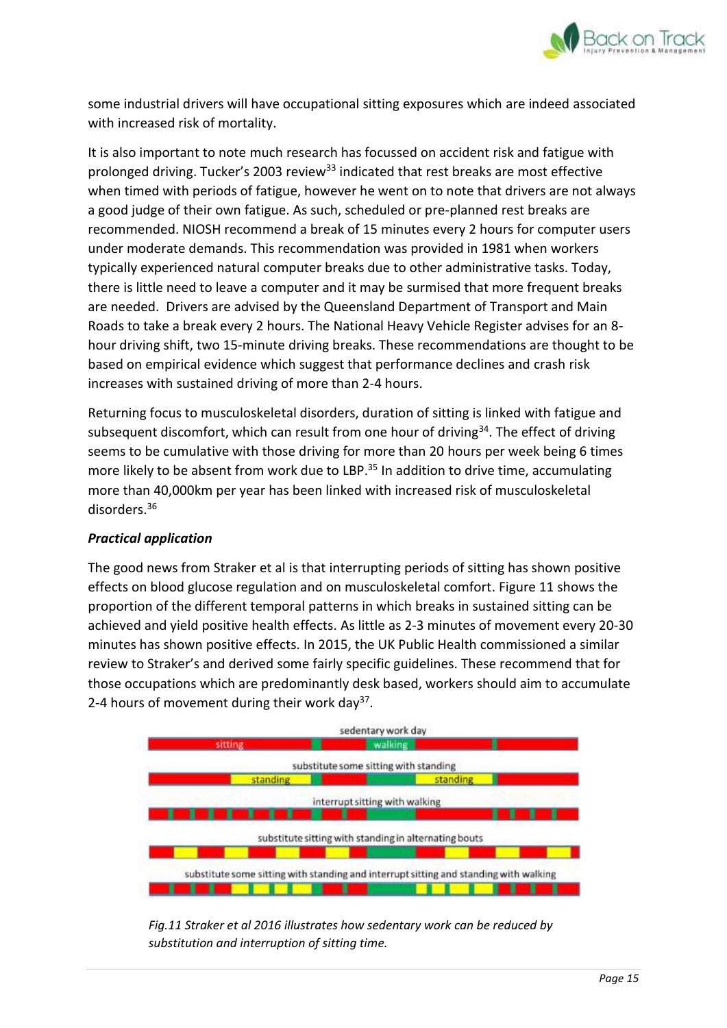

some industrial drivers will have occupational sitting exposures which are indeed associated with increased risk of mortality.

It is also important to note much research has focussed on accident risk and fatigue with prolonged driving. Tucker's 2003 review<sup>33</sup> indicated that rest breaks are most effective when timed with periods of fatigue, however he went on to note that drivers are not always a good judge of their own fatigue. As such, scheduled or pre-planned rest breaks are recommended. NIOSH recommend a break of 15 minutes every 2 hours for computer users under moderate demands. This recommendation was provided in 1981 when workers typically experienced natural computer breaks due to other administrative tasks. Today, there is little need to leave a computer and it may be surmised that more frequent breaks are needed. Drivers are advised by the Queensland Department of Transport and Main Roads to take a break every 2 hours. The National Heavy Vehicle Register advises for an 8 hour driving shift, two 15-minute driving breaks. These recommendations are thought to be based on empirical evidence which suggest that performance declines and crash risk increases with sustained driving of more than 2-4 hours.

Returning focus to musculoskeletal disorders, duration of sitting is linked with fatigue and subsequent discomfort, which can result from one hour of driving<sup>34</sup>. The effect of driving seems to be cumulative with those driving for more than 20 hours per week being 6 times more likely to be absent from work due to LBP.<sup>35</sup> In addition to drive time, accumulating more than 40,000km per year has been linked with increased risk of musculoskeletal disorders.<sup>36</sup>

## *Practical application*

The good news from Straker et al is that interrupting periods of sitting has shown positive effects on blood glucose regulation and on musculoskeletal comfort. Figure 11 shows the proportion of the different temporal patterns in which breaks in sustained sitting can be achieved and yield positive health effects. As little as 2-3 minutes of movement every 20-30 minutes has shown positive effects. In 2015, the UK Public Health commissioned a similar review to Straker's and derived some fairly specific guidelines. These recommend that for those occupations which are predominantly desk based, workers should aim to accumulate 2-4 hours of movement during their work day<sup>37</sup>.



*Fig.11 Straker et al 2016 illustrates how sedentary work can be reduced by substitution and interruption of sitting time.*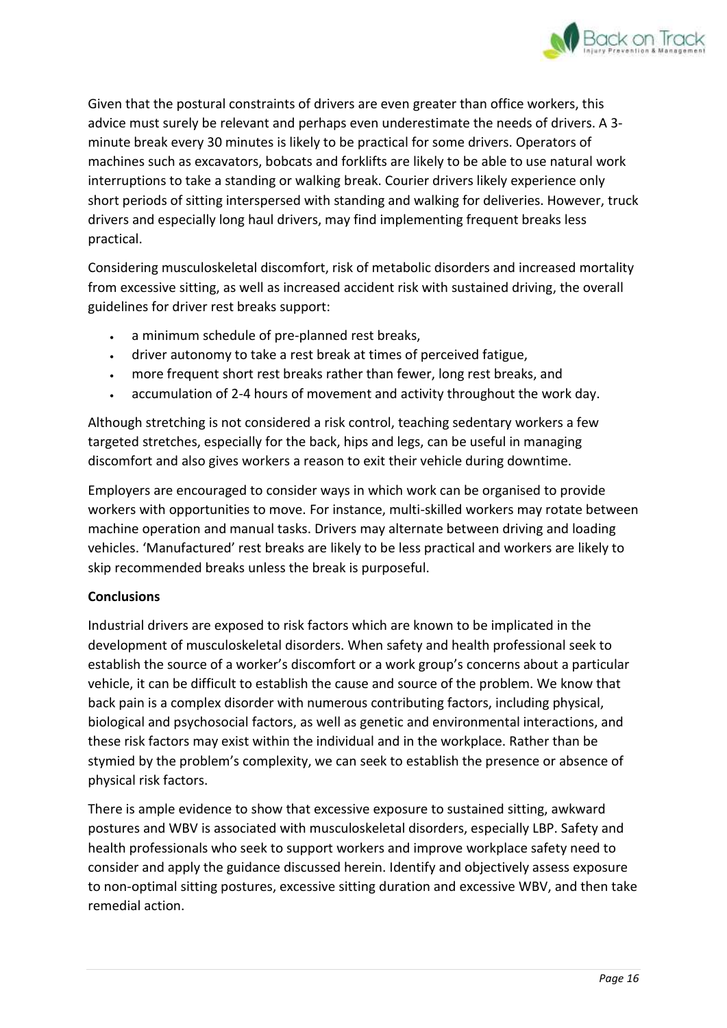

Given that the postural constraints of drivers are even greater than office workers, this advice must surely be relevant and perhaps even underestimate the needs of drivers. A 3 minute break every 30 minutes is likely to be practical for some drivers. Operators of machines such as excavators, bobcats and forklifts are likely to be able to use natural work interruptions to take a standing or walking break. Courier drivers likely experience only short periods of sitting interspersed with standing and walking for deliveries. However, truck drivers and especially long haul drivers, may find implementing frequent breaks less practical.

Considering musculoskeletal discomfort, risk of metabolic disorders and increased mortality from excessive sitting, as well as increased accident risk with sustained driving, the overall guidelines for driver rest breaks support:

- a minimum schedule of pre-planned rest breaks,
- driver autonomy to take a rest break at times of perceived fatigue,
- more frequent short rest breaks rather than fewer, long rest breaks, and
- accumulation of 2-4 hours of movement and activity throughout the work day.

Although stretching is not considered a risk control, teaching sedentary workers a few targeted stretches, especially for the back, hips and legs, can be useful in managing discomfort and also gives workers a reason to exit their vehicle during downtime.

Employers are encouraged to consider ways in which work can be organised to provide workers with opportunities to move. For instance, multi-skilled workers may rotate between machine operation and manual tasks. Drivers may alternate between driving and loading vehicles. 'Manufactured' rest breaks are likely to be less practical and workers are likely to skip recommended breaks unless the break is purposeful.

## **Conclusions**

Industrial drivers are exposed to risk factors which are known to be implicated in the development of musculoskeletal disorders. When safety and health professional seek to establish the source of a worker's discomfort or a work group's concerns about a particular vehicle, it can be difficult to establish the cause and source of the problem. We know that back pain is a complex disorder with numerous contributing factors, including physical, biological and psychosocial factors, as well as genetic and environmental interactions, and these risk factors may exist within the individual and in the workplace. Rather than be stymied by the problem's complexity, we can seek to establish the presence or absence of physical risk factors.

There is ample evidence to show that excessive exposure to sustained sitting, awkward postures and WBV is associated with musculoskeletal disorders, especially LBP. Safety and health professionals who seek to support workers and improve workplace safety need to consider and apply the guidance discussed herein. Identify and objectively assess exposure to non-optimal sitting postures, excessive sitting duration and excessive WBV, and then take remedial action.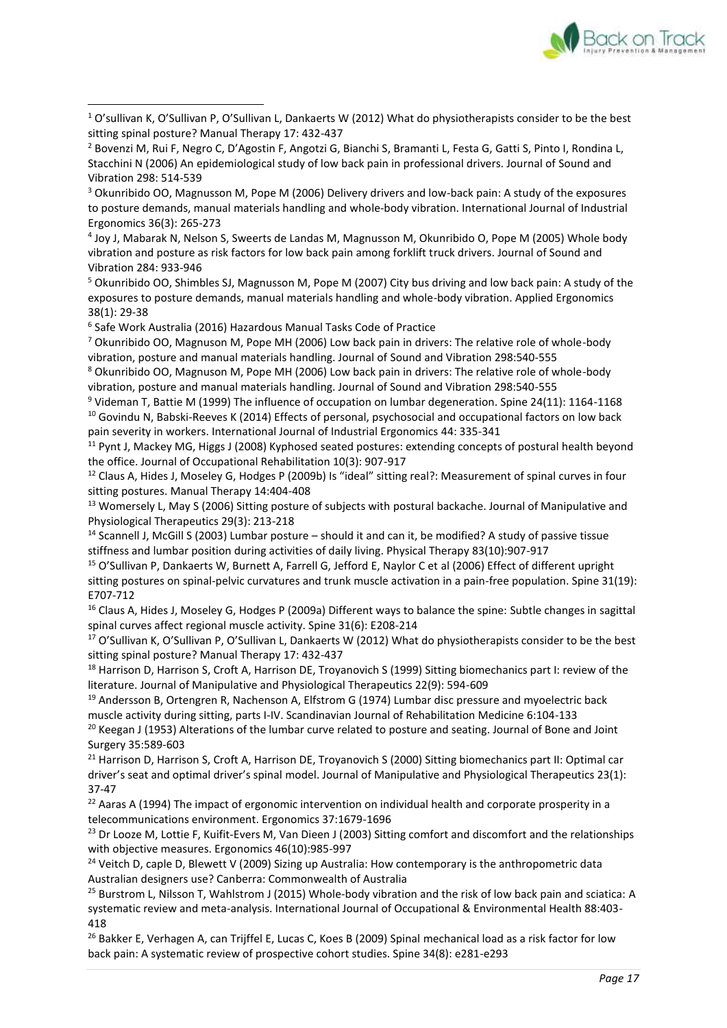

<sup>1</sup> O'sullivan K, O'Sullivan P, O'Sullivan L, Dankaerts W (2012) What do physiotherapists consider to be the best sitting spinal posture? Manual Therapy 17: 432-437 **.** 

<sup>3</sup> Okunribido OO, Magnusson M, Pope M (2006) Delivery drivers and low-back pain: A study of the exposures to posture demands, manual materials handling and whole-body vibration. International Journal of Industrial Ergonomics 36(3): 265-273

4 Joy J, Mabarak N, Nelson S, Sweerts de Landas M, Magnusson M, Okunribido O, Pope M (2005) Whole body vibration and posture as risk factors for low back pain among forklift truck drivers. Journal of Sound and Vibration 284: 933-946

<sup>5</sup> Okunribido OO, Shimbles SJ, Magnusson M, Pope M (2007) City bus driving and low back pain: A study of the exposures to posture demands, manual materials handling and whole-body vibration. Applied Ergonomics 38(1): 29-38

6 Safe Work Australia (2016) Hazardous Manual Tasks Code of Practice

<sup>7</sup> Okunribido OO, Magnuson M, Pope MH (2006) Low back pain in drivers: The relative role of whole-body vibration, posture and manual materials handling. Journal of Sound and Vibration 298:540-555

<sup>8</sup> Okunribido OO, Magnuson M, Pope MH (2006) Low back pain in drivers: The relative role of whole-body vibration, posture and manual materials handling. Journal of Sound and Vibration 298:540-555

<sup>9</sup> Videman T, Battie M (1999) The influence of occupation on lumbar degeneration. Spine 24(11): 1164-1168 <sup>10</sup> Govindu N, Babski-Reeves K (2014) Effects of personal, psychosocial and occupational factors on low back pain severity in workers. International Journal of Industrial Ergonomics 44: 335-341

<sup>11</sup> Pynt J, Mackey MG, Higgs J (2008) Kyphosed seated postures: extending concepts of postural health beyond the office. Journal of Occupational Rehabilitation 10(3): 907-917

 $12$  Claus A, Hides J, Moseley G, Hodges P (2009b) Is "ideal" sitting real?: Measurement of spinal curves in four sitting postures. Manual Therapy 14:404-408

<sup>13</sup> Womersely L, May S (2006) Sitting posture of subjects with postural backache. Journal of Manipulative and Physiological Therapeutics 29(3): 213-218

<sup>14</sup> Scannell J, McGill S (2003) Lumbar posture – should it and can it, be modified? A study of passive tissue stiffness and lumbar position during activities of daily living. Physical Therapy 83(10):907-917

<sup>15</sup> O'Sullivan P, Dankaerts W, Burnett A, Farrell G, Jefford E, Naylor C et al (2006) Effect of different upright sitting postures on spinal-pelvic curvatures and trunk muscle activation in a pain-free population. Spine 31(19): E707-712

<sup>16</sup> Claus A, Hides J, Moseley G, Hodges P (2009a) Different ways to balance the spine: Subtle changes in sagittal spinal curves affect regional muscle activity. Spine 31(6): E208-214

 $17$  O'Sullivan K, O'Sullivan P, O'Sullivan L, Dankaerts W (2012) What do physiotherapists consider to be the best sitting spinal posture? Manual Therapy 17: 432-437

<sup>18</sup> Harrison D, Harrison S, Croft A, Harrison DE, Troyanovich S (1999) Sitting biomechanics part I: review of the literature. Journal of Manipulative and Physiological Therapeutics 22(9): 594-609

<sup>19</sup> Andersson B, Ortengren R, Nachenson A, Elfstrom G (1974) Lumbar disc pressure and myoelectric back muscle activity during sitting, parts I-IV. Scandinavian Journal of Rehabilitation Medicine 6:104-133

<sup>20</sup> Keegan J (1953) Alterations of the lumbar curve related to posture and seating. Journal of Bone and Joint Surgery 35:589-603

<sup>21</sup> Harrison D, Harrison S, Croft A, Harrison DE, Troyanovich S (2000) Sitting biomechanics part II: Optimal car driver's seat and optimal driver's spinal model. Journal of Manipulative and Physiological Therapeutics 23(1): 37-47

<sup>22</sup> Aaras A (1994) The impact of ergonomic intervention on individual health and corporate prosperity in a telecommunications environment. Ergonomics 37:1679-1696

<sup>23</sup> Dr Looze M, Lottie F, Kuifit-Evers M, Van Dieen J (2003) Sitting comfort and discomfort and the relationships with objective measures. Ergonomics 46(10):985-997

<sup>24</sup> Veitch D, caple D, Blewett V (2009) Sizing up Australia: How contemporary is the anthropometric data Australian designers use? Canberra: Commonwealth of Australia

<sup>25</sup> Burstrom L, Nilsson T, Wahlstrom J (2015) Whole-body vibration and the risk of low back pain and sciatica: A systematic review and meta-analysis. International Journal of Occupational & Environmental Health 88:403- 418

<sup>26</sup> Bakker E, Verhagen A, can Trijffel E, Lucas C, Koes B (2009) Spinal mechanical load as a risk factor for low back pain: A systematic review of prospective cohort studies. Spine 34(8): e281-e293

<sup>&</sup>lt;sup>2</sup> Bovenzi M, Rui F, Negro C, D'Agostin F, Angotzi G, Bianchi S, Bramanti L, Festa G, Gatti S, Pinto I, Rondina L, Stacchini N (2006) An epidemiological study of low back pain in professional drivers. Journal of Sound and Vibration 298: 514-539